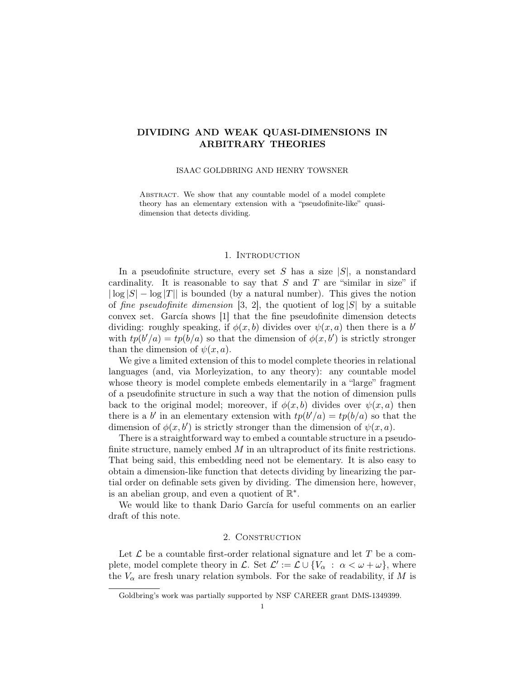# DIVIDING AND WEAK QUASI-DIMENSIONS IN ARBITRARY THEORIES

#### ISAAC GOLDBRING AND HENRY TOWSNER

ABSTRACT. We show that any countable model of a model complete theory has an elementary extension with a "pseudofinite-like" quasidimension that detects dividing.

### 1. INTRODUCTION

In a pseudofinite structure, every set S has a size  $|S|$ , a nonstandard cardinality. It is reasonable to say that  $S$  and  $T$  are "similar in size" if  $|\log |S| - \log |T||$  is bounded (by a natural number). This gives the notion of *fine pseudofinite dimension* [3, 2], the quotient of  $log |S|$  by a suitable convex set. García shows [1] that the fine pseudofinite dimension detects dividing: roughly speaking, if  $\phi(x, b)$  divides over  $\psi(x, a)$  then there is a b with  $tp(b'/a) = tp(b/a)$  so that the dimension of  $\phi(x, b')$  is strictly stronger than the dimension of  $\psi(x, a)$ .

We give a limited extension of this to model complete theories in relational languages (and, via Morleyization, to any theory): any countable model whose theory is model complete embeds elementarily in a "large" fragment of a pseudofinite structure in such a way that the notion of dimension pulls back to the original model; moreover, if  $\phi(x, b)$  divides over  $\psi(x, a)$  then there is a b' in an elementary extension with  $tp(b'/a) = tp(b/a)$  so that the dimension of  $\phi(x, b')$  is strictly stronger than the dimension of  $\psi(x, a)$ .

There is a straightforward way to embed a countable structure in a pseudofinite structure, namely embed  $M$  in an ultraproduct of its finite restrictions. That being said, this embedding need not be elementary. It is also easy to obtain a dimension-like function that detects dividing by linearizing the partial order on definable sets given by dividing. The dimension here, however, is an abelian group, and even a quotient of  $\mathbb{R}^*$ .

We would like to thank Dario García for useful comments on an earlier draft of this note.

# 2. CONSTRUCTION

Let  $\mathcal L$  be a countable first-order relational signature and let T be a complete, model complete theory in L. Set  $\mathcal{L}' := \mathcal{L} \cup \{V_\alpha : \alpha < \omega + \omega\}$ , where the  $V_{\alpha}$  are fresh unary relation symbols. For the sake of readability, if M is

Goldbring's work was partially supported by NSF CAREER grant DMS-1349399.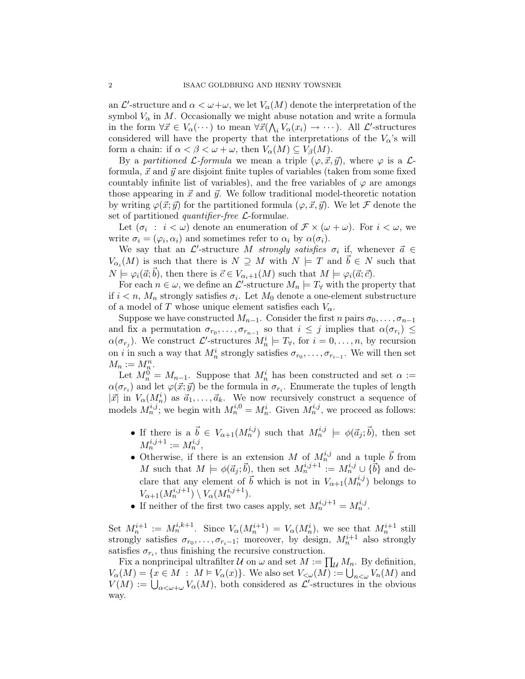an  $\mathcal{L}'$ -structure and  $\alpha < \omega + \omega$ , we let  $V_{\alpha}(M)$  denote the interpretation of the symbol  $V_{\alpha}$  in M. Occasionally we might abuse notation and write a formula in the form  $\forall \vec{x} \in V_{\alpha}(\cdots)$  to mean  $\forall \vec{x}(\bigwedge_i V_{\alpha}(x_i) \to \cdots)$ . All  $\mathcal{L}'$ -structures considered will have the property that the interpretations of the  $V_{\alpha}$ 's will form a chain: if  $\alpha < \beta < \omega + \omega$ , then  $V_{\alpha}(M) \subseteq V_{\beta}(M)$ .

By a partitioned L-formula we mean a triple  $(\varphi, \vec{x}, \vec{y})$ , where  $\varphi$  is a Lformula,  $\vec{x}$  and  $\vec{y}$  are disjoint finite tuples of variables (taken from some fixed countably infinite list of variables), and the free variables of  $\varphi$  are amongs those appearing in  $\vec{x}$  and  $\vec{y}$ . We follow traditional model-theoretic notation by writing  $\varphi(\vec{x}; \vec{y})$  for the partitioned formula  $(\varphi, \vec{x}, \vec{y})$ . We let F denote the set of partitioned *quantifier-free*  $\mathcal{L}$ -formulae.

Let  $(\sigma_i : i < \omega)$  denote an enumeration of  $\mathcal{F} \times (\omega + \omega)$ . For  $i < \omega$ , we write  $\sigma_i = (\varphi_i, \alpha_i)$  and sometimes refer to  $\alpha_i$  by  $\alpha(\sigma_i)$ .

We say that an  $\mathcal{L}'$ -structure M strongly satisfies  $\sigma_i$  if, whenever  $\vec{a} \in$  $V_{\alpha_i}(M)$  is such that there is  $N \supseteq M$  with  $N \models T$  and  $\vec{b} \in N$  such that  $N \models \varphi_i(\vec{a}; \vec{b})$ , then there is  $\vec{c} \in V_{\alpha_i+1}(M)$  such that  $M \models \varphi_i(\vec{a}; \vec{c})$ .

For each  $n \in \omega$ , we define an  $\mathcal{L}'$ -structure  $M_n \models T_\forall$  with the property that if  $i < n$ ,  $M_n$  strongly satisfies  $\sigma_i$ . Let  $M_0$  denote a one-element substructure of a model of T whose unique element satisfies each  $V_{\alpha}$ .

Suppose we have constructed  $M_{n-1}$ . Consider the first n pairs  $\sigma_0, \ldots, \sigma_{n-1}$ and fix a permutation  $\sigma_{r_0}, \ldots, \sigma_{r_{n-1}}$  so that  $i \leq j$  implies that  $\alpha(\sigma_{r_i}) \leq$  $\alpha(\sigma_{r_j})$ . We construct  $\mathcal{L}'$ -structures  $M_n^i \models T_{\forall}$ , for  $i = 0, \ldots, n$ , by recursion on *i* in such a way that  $M_n^i$  strongly satisfies  $\sigma_{r_0}, \ldots, \sigma_{r_{i-1}}$ . We will then set  $M_n := M_{\underline{n}}^n$ .

Let  $M_n^0 = M_{n-1}$ . Suppose that  $M_n^i$  has been constructed and set  $\alpha :=$  $\alpha(\sigma_{r_i})$  and let  $\varphi(\vec{x}; \vec{y})$  be the formula in  $\sigma_{r_i}$ . Enumerate the tuples of length  $|\vec{x}|$  in  $V_{\alpha}(M_n^i)$  as  $\vec{a}_1, \ldots, \vec{a}_k$ . We now recursively construct a sequence of models  $M_n^{i,j}$ ; we begin with  $M_n^{i,0} = M_n^i$ . Given  $M_n^{i,j}$ , we proceed as follows:

- If there is a  $\vec{b} \in V_{\alpha+1}(M_n^{i,j})$  such that  $M_n^{i,j} \models \phi(\vec{a}_j; \vec{b})$ , then set  $M_n^{i,j+1} := M_n^{i,j},$
- Otherwise, if there is an extension M of  $M_n^{i,j}$  and a tuple  $\vec{b}$  from M such that  $M \models \phi(\vec{a}_j; \vec{b})$ , then set  $M_n^{i,j+1} := M_n^{i,j} \cup \{\vec{b}\}\$ and declare that any element of  $\vec{b}$  which is not in  $V_{\alpha+1}(M_n^{i,j})$  belongs to  $V_{\alpha+1}(M_n^{i,j+1}) \setminus V_\alpha(M_n^{i,j+1}).$
- If neither of the first two cases apply, set  $M_n^{i,j+1} = M_n^{i,j}$ .

Set  $M_n^{i+1} := M_n^{i,k+1}$ . Since  $V_\alpha(M_n^{i+1}) = V_\alpha(M_n^i)$ , we see that  $M_n^{i+1}$  still strongly satisfies  $\sigma_{r_0}, \ldots, \sigma_{r_i-1}$ ; moreover, by design,  $M_n^{i+1}$  also strongly satisfies  $\sigma_{r_i}$ , thus finishing the recursive construction.

Fix a nonprincipal ultrafilter  $\mathcal U$  on  $\omega$  and set  $M := \prod_{\mathcal U} M_n$ . By definition,  $V_{\alpha}(M) = \{x \in M : M \models V_{\alpha}(x)\}.$  We also set  $V_{\leq \omega}(M) := \bigcup_{n \leq \omega} V_n(M)$  and  $V(M) := \bigcup_{\alpha < \omega + \omega} V_{\alpha}(M)$ , both considered as  $\mathcal{L}'$ -structures in the obvious way.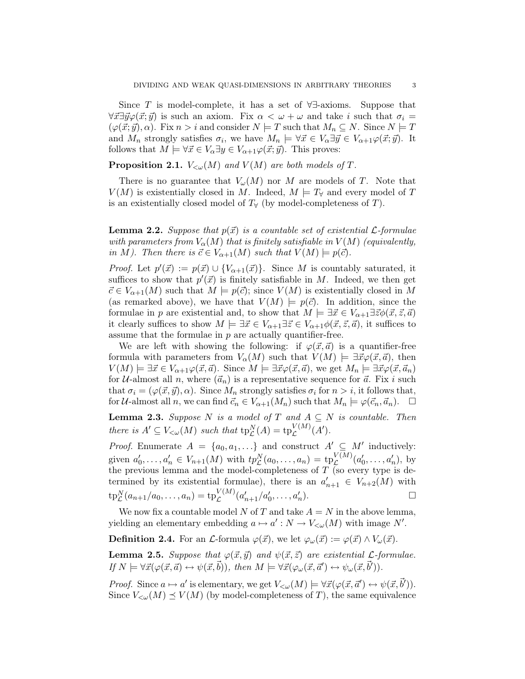Since T is model-complete, it has a set of  $\forall \exists$ -axioms. Suppose that  $\forall \vec{x} \exists \vec{y} \varphi(\vec{x}; \vec{y})$  is such an axiom. Fix  $\alpha < \omega + \omega$  and take i such that  $\sigma_i =$  $(\varphi(\vec{x}; \vec{y}), \alpha)$ . Fix  $n > i$  and consider  $N \models T$  such that  $M_n \subseteq N$ . Since  $N \models T$ and  $M_n$  strongly satisfies  $\sigma_i$ , we have  $M_n \models \forall \vec{x} \in V_\alpha \exists \vec{y} \in V_{\alpha+1} \varphi(\vec{x}; \vec{y})$ . It follows that  $M \models \forall \vec{x} \in V_{\alpha} \exists y \in V_{\alpha+1} \varphi(\vec{x}; \vec{y})$ . This proves:

# **Proposition 2.1.**  $V_{\leq \omega}(M)$  and  $V(M)$  are both models of T.

There is no guarantee that  $V_\omega(M)$  nor M are models of T. Note that  $V(M)$  is existentially closed in M. Indeed,  $M \models T_{\forall}$  and every model of T is an existentially closed model of  $T_\forall$  (by model-completeness of T).

**Lemma 2.2.** Suppose that  $p(\vec{x})$  is a countable set of existential  $\mathcal{L}$ -formulae with parameters from  $V_{\alpha}(M)$  that is finitely satisfiable in  $V(M)$  (equivalently, in M). Then there is  $\vec{c} \in V_{\alpha+1}(M)$  such that  $V(M) \models p(\vec{c})$ .

*Proof.* Let  $p'(\vec{x}) := p(\vec{x}) \cup \{V_{\alpha+1}(\vec{x})\}$ . Since M is countably saturated, it suffices to show that  $p'(\vec{x})$  is finitely satisfiable in M. Indeed, we then get  $\vec{c} \in V_{\alpha+1}(M)$  such that  $M \models p(\vec{c})$ ; since  $V(M)$  is existentially closed in M (as remarked above), we have that  $V(M) \models p(\vec{c})$ . In addition, since the formulae in p are existential and, to show that  $M \models \exists \vec{x} \in V_{\alpha+1} \exists \vec{z} \phi(\vec{x}, \vec{z}, \vec{a})$ it clearly suffices to show  $M \models \exists \vec{x} \in V_{\alpha+1} \exists \vec{z} \in V_{\alpha+1} \phi(\vec{x}, \vec{z}, \vec{a})$ , it suffices to assume that the formulae in  $p$  are actually quantifier-free.

We are left with showing the following: if  $\varphi(\vec{x}, \vec{a})$  is a quantifier-free formula with parameters from  $V_{\alpha}(M)$  such that  $V(M) \models \exists \vec{x} \varphi(\vec{x}, \vec{a})$ , then  $V(M) \models \exists \vec{x} \in V_{\alpha+1} \varphi(\vec{x}, \vec{a})$ . Since  $M \models \exists \vec{x} \varphi(\vec{x}, \vec{a})$ , we get  $M_n \models \exists \vec{x} \varphi(\vec{x}, \vec{a}_n)$ for U-almost all n, where  $(\vec{a}_n)$  is a representative sequence for  $\vec{a}$ . Fix i such that  $\sigma_i = (\varphi(\vec{x}, \vec{y}), \alpha)$ . Since  $M_n$  strongly satisfies  $\sigma_i$  for  $n > i$ , it follows that, for U-almost all n, we can find  $\vec{c}_n \in V_{\alpha+1}(M_n)$  such that  $M_n \models \varphi(\vec{c}_n, \vec{a}_n)$ .  $\Box$ 

**Lemma 2.3.** Suppose N is a model of T and  $A \subseteq N$  is countable. Then there is  $A' \subseteq V_{< \omega}(M)$  such that  $tp^N_{\mathcal{L}}(A) = tp^{V(M)}_{\mathcal{L}}(A').$ 

*Proof.* Enumerate  $A = \{a_0, a_1, ...\}$  and construct  $A' \subseteq M'$  inductively: given  $a'_0, ..., a'_n \in V_{n+1}(M)$  with  $tp_{\mathcal{L}}^N(a_0, ..., a_n) = tp_{\mathcal{L}}^{V(M)}(a'_0, ..., a'_n)$ , by the previous lemma and the model-completeness of  $T$  (so every type is determined by its existential formulae), there is an  $a'_{n+1} \in V_{n+2}(M)$  with  $\mathrm{tp}_{\mathcal{L}}^N(a_{n+1}/a_0, \ldots, a_n) = \mathrm{tp}_{\mathcal{L}}^{V(M)}(a'_{n+1}/a'_0, \ldots, a'_n)$ ).  $\qquad \qquad \Box$ 

We now fix a countable model N of T and take  $A = N$  in the above lemma, yielding an elementary embedding  $a \mapsto a' : N \to V_{\leq \omega}(M)$  with image N'.

**Definition 2.4.** For an L-formula  $\varphi(\vec{x})$ , we let  $\varphi_{\omega}(\vec{x}) := \varphi(\vec{x}) \wedge V_{\omega}(\vec{x})$ .

**Lemma 2.5.** Suppose that  $\varphi(\vec{x}, \vec{y})$  and  $\psi(\vec{x}, \vec{z})$  are existential *L*-formulae. If  $N \models \forall \vec{x}(\varphi(\vec{x}, \vec{a}) \leftrightarrow \psi(\vec{x}, \vec{b}))$ , then  $M \models \forall \vec{x}(\varphi_{\omega}(\vec{x}, \vec{a}') \leftrightarrow \psi_{\omega}(\vec{x}, \vec{b}')).$ 

*Proof.* Since  $a \mapsto a'$  is elementary, we get  $V_{< \omega}(M) \models \forall \vec{x}(\varphi(\vec{x}, \vec{a}') \leftrightarrow \psi(\vec{x}, \vec{b}')).$ Since  $V_{\leq \omega}(M) \preceq V(M)$  (by model-completeness of T), the same equivalence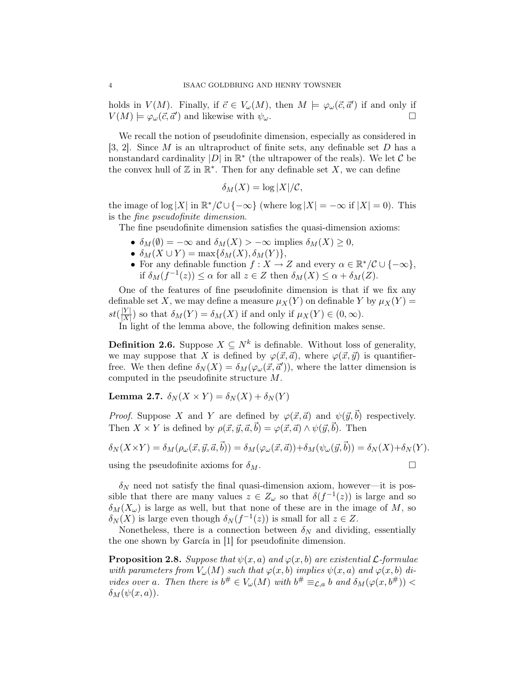holds in  $V(M)$ . Finally, if  $\vec{c} \in V_{\omega}(M)$ , then  $M \models \varphi_{\omega}(\vec{c}, \vec{a}')$  if and only if  $V(M) \models \varphi_\omega(\vec{c}, \vec{a}')$  and likewise with  $\psi_\omega$ .

We recall the notion of pseudofinite dimension, especially as considered in [3, 2]. Since  $M$  is an ultraproduct of finite sets, any definable set  $D$  has a nonstandard cardinality  $|D|$  in  $\mathbb{R}^*$  (the ultrapower of the reals). We let C be the convex hull of  $\mathbb Z$  in  $\mathbb R^*$ . Then for any definable set X, we can define

$$
\delta_M(X) = \log |X| / \mathcal{C},
$$

the image of log |X| in  $\mathbb{R}^*/\mathcal{C} \cup \{-\infty\}$  (where  $\log |X| = -\infty$  if  $|X| = 0$ ). This is the fine pseudofinite dimension.

The fine pseudofinite dimension satisfies the quasi-dimension axioms:

- $\delta_M(\emptyset) = -\infty$  and  $\delta_M(X) > -\infty$  implies  $\delta_M(X) \geq 0$ ,
- $\delta_M(X \cup Y) = \max{\delta_M(X), \delta_M(Y)},$
- For any definable function  $f: X \to Z$  and every  $\alpha \in \mathbb{R}^* / \mathcal{C} \cup \{-\infty\},$ if  $\delta_M(f^{-1}(z)) \leq \alpha$  for all  $z \in Z$  then  $\delta_M(X) \leq \alpha + \delta_M(Z)$ .

One of the features of fine pseudofinite dimension is that if we fix any definable set X, we may define a measure  $\mu_X(Y)$  on definable Y by  $\mu_X(Y)$  =  $st(\frac{|Y|}{|Y|})$  $\frac{|Y|}{|X|}$  so that  $\delta_M(Y) = \delta_M(X)$  if and only if  $\mu_X(Y) \in (0, \infty)$ .

In light of the lemma above, the following definition makes sense.

**Definition 2.6.** Suppose  $X \subseteq N^k$  is definable. Without loss of generality, we may suppose that X is defined by  $\varphi(\vec{x}, \vec{a})$ , where  $\varphi(\vec{x}, \vec{y})$  is quantifierfree. We then define  $\delta_N(X) = \delta_M(\varphi_\omega(\vec{x}, \vec{a}'))$ , where the latter dimension is computed in the pseudofinite structure M.

Lemma 2.7.  $\delta_N(X \times Y) = \delta_N(X) + \delta_N(Y)$ 

*Proof.* Suppose X and Y are defined by  $\varphi(\vec{x}, \vec{a})$  and  $\psi(\vec{y}, \vec{b})$  respectively. Then  $X \times Y$  is defined by  $\rho(\vec{x}, \vec{y}, \vec{a}, \vec{b}) = \varphi(\vec{x}, \vec{a}) \wedge \psi(\vec{y}, \vec{b})$ . Then

$$
\delta_N(X \times Y) = \delta_M(\rho_\omega(\vec{x}, \vec{y}, \vec{a}, \vec{b})) = \delta_M(\varphi_\omega(\vec{x}, \vec{a})) + \delta_M(\psi_\omega(\vec{y}, \vec{b})) = \delta_N(X) + \delta_N(Y).
$$

using the pseudofinite axioms for  $\delta_M$ .

 $\delta_N$  need not satisfy the final quasi-dimension axiom, however—it is possible that there are many values  $z \in Z_\omega$  so that  $\delta(f^{-1}(z))$  is large and so  $\delta_M(X_\omega)$  is large as well, but that none of these are in the image of M, so  $\delta_N(X)$  is large even though  $\delta_N(f^{-1}(z))$  is small for all  $z \in Z$ .

Nonetheless, there is a connection between  $\delta_N$  and dividing, essentially the one shown by García in [1] for pseudofinite dimension.

**Proposition 2.8.** Suppose that  $\psi(x, a)$  and  $\varphi(x, b)$  are existential L-formulae with parameters from  $V_\omega(M)$  such that  $\varphi(x, b)$  implies  $\psi(x, a)$  and  $\varphi(x, b)$  divides over a. Then there is  $b^{\#} \in V_{\omega}(M)$  with  $b^{\#} \equiv_{\mathcal{L},a} b$  and  $\delta_M(\varphi(x, b^{\#}))$  <  $\delta_M(\psi(x,a))$ .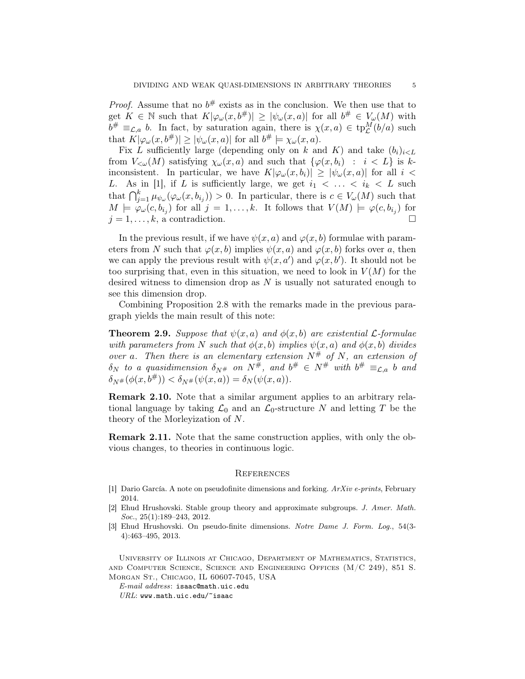*Proof.* Assume that no  $b^{\#}$  exists as in the conclusion. We then use that to get  $K \in \mathbb{N}$  such that  $K[\varphi_\omega(x, b^{\#})] \geq |\psi_\omega(x, a)|$  for all  $b^{\#} \in V_\omega(M)$  with  $b^{\#} \equiv_{\mathcal{L},a} b$ . In fact, by saturation again, there is  $\chi(x,a) \in \text{tp}_{\mathcal{L}}^M(b/a)$  such that  $K[\varphi_\omega(x, b^{\#})] \geq |\psi_\omega(x, a)|$  for all  $b^{\#} \models \chi_\omega(x, a)$ .

Fix L sufficiently large (depending only on k and K) and take  $(b_i)_{i \leq L}$ from  $V_{\leq \omega}(M)$  satisfying  $\chi_{\omega}(x, a)$  and such that  $\{\varphi(x, b_i) : i \in L\}$  is kinconsistent. In particular, we have  $K[\varphi_\omega(x, b_i)] \geq [\psi_\omega(x, a)]$  for all  $i <$ L. As in [1], if L is sufficiently large, we get  $i_1 < \ldots < i_k < L$  such that  $\bigcap_{j=1}^k \mu_{\psi_\omega}(\varphi_\omega(x,b_{i_j})) > 0$ . In particular, there is  $c \in V_\omega(M)$  such that  $M \models \varphi_\omega(c, b_{i_j})$  for all  $j = 1, \ldots, k$ . It follows that  $V(M) \models \varphi(c, b_{i_j})$  for  $j = 1, \ldots, k$ , a contradiction.

In the previous result, if we have  $\psi(x, a)$  and  $\varphi(x, b)$  formulae with parameters from N such that  $\varphi(x, b)$  implies  $\psi(x, a)$  and  $\varphi(x, b)$  forks over a, then we can apply the previous result with  $\psi(x, a')$  and  $\varphi(x, b')$ . It should not be too surprising that, even in this situation, we need to look in  $V(M)$  for the desired witness to dimension drop as  $N$  is usually not saturated enough to see this dimension drop.

Combining Proposition 2.8 with the remarks made in the previous paragraph yields the main result of this note:

**Theorem 2.9.** Suppose that  $\psi(x, a)$  and  $\phi(x, b)$  are existential *L*-formulae with parameters from N such that  $\phi(x, b)$  implies  $\psi(x, a)$  and  $\phi(x, b)$  divides over a. Then there is an elementary extension  $N^{\#}$  of N, an extension of  $\delta_N$  to a quasidimension  $\delta_{N^\#}$  on  $N^\#$ , and  $b^\# \in N^\#$  with  $b^\# \equiv_{\mathcal{L},a} b$  and  $\delta_{N#}(\phi(x, b^{\#})) < \delta_{N#}(\psi(x, a)) = \delta_{N}(\psi(x, a)).$ 

Remark 2.10. Note that a similar argument applies to an arbitrary relational language by taking  $\mathcal{L}_0$  and an  $\mathcal{L}_0$ -structure N and letting T be the theory of the Morleyization of N.

Remark 2.11. Note that the same construction applies, with only the obvious changes, to theories in continuous logic.

#### **REFERENCES**

- [1] Dario García. A note on pseudofinite dimensions and forking.  $ArXiv$  e-prints, February 2014.
- [2] Ehud Hrushovski. Stable group theory and approximate subgroups. J. Amer. Math. Soc., 25(1):189-243, 2012.
- [3] Ehud Hrushovski. On pseudo-finite dimensions. Notre Dame J. Form. Log., 54(3- 4):463–495, 2013.

University of Illinois at Chicago, Department of Mathematics, Statistics, and Computer Science, Science and Engineering Offices (M/C 249), 851 S. Morgan St., Chicago, IL 60607-7045, USA

E-mail address: isaac@math.uic.edu

 $URL:$  www.math.uic.edu/~isaac